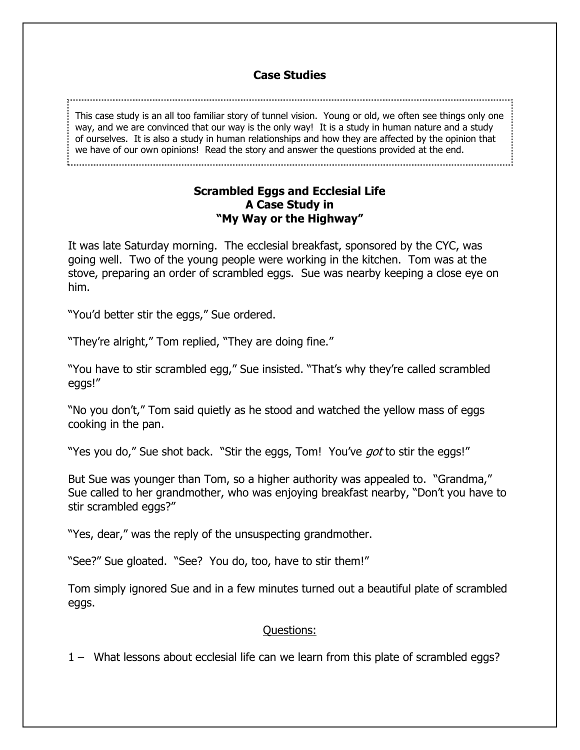## **Case Studies**

This case study is an all too familiar story of tunnel vision. Young or old, we often see things only one way, and we are convinced that our way is the only way! It is a study in human nature and a study of ourselves. It is also a study in human relationships and how they are affected by the opinion that we have of our own opinions! Read the story and answer the questions provided at the end.

## **Scrambled Eggs and Ecclesial Life A Case Study in "My Way or the Highway"**

It was late Saturday morning. The ecclesial breakfast, sponsored by the CYC, was going well. Two of the young people were working in the kitchen. Tom was at the stove, preparing an order of scrambled eggs. Sue was nearby keeping a close eye on him.

"You'd better stir the eggs," Sue ordered.

"They're alright," Tom replied, "They are doing fine."

"You have to stir scrambled egg," Sue insisted. "That's why they're called scrambled eggs!"

"No you don't," Tom said quietly as he stood and watched the yellow mass of eggs cooking in the pan.

"Yes you do," Sue shot back. "Stir the eggs, Tom! You've *got* to stir the eggs!"

But Sue was younger than Tom, so a higher authority was appealed to. "Grandma," Sue called to her grandmother, who was enjoying breakfast nearby, "Don't you have to stir scrambled eggs?"

"Yes, dear," was the reply of the unsuspecting grandmother.

"See?" Sue gloated. "See? You do, too, have to stir them!"

Tom simply ignored Sue and in a few minutes turned out a beautiful plate of scrambled eggs.

## Questions:

1 – What lessons about ecclesial life can we learn from this plate of scrambled eggs?